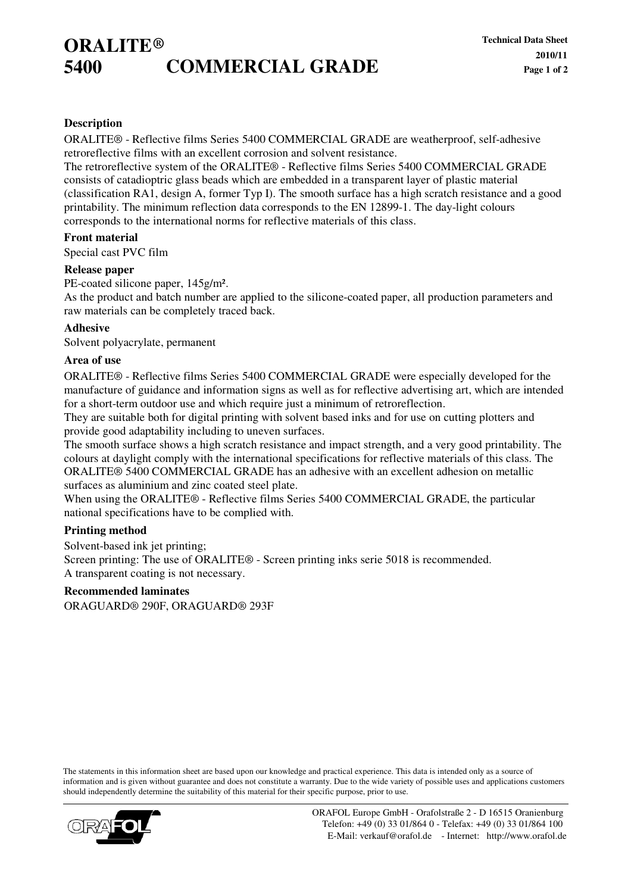# **ORALITE ® 5400 COMMERCIAL GRADE**

### **Description**

ORALITE® - Reflective films Series 5400 COMMERCIAL GRADE are weatherproof, self-adhesive retroreflective films with an excellent corrosion and solvent resistance.

The retroreflective system of the ORALITE® - Reflective films Series 5400 COMMERCIAL GRADE consists of catadioptric glass beads which are embedded in a transparent layer of plastic material (classification RA1, design A, former Typ I). The smooth surface has a high scratch resistance and a good printability. The minimum reflection data corresponds to the EN 12899-1. The day-light colours corresponds to the international norms for reflective materials of this class.

#### **Front material**

Special cast PVC film

#### **Release paper**

PE-coated silicone paper, 145g/m².

As the product and batch number are applied to the silicone-coated paper, all production parameters and raw materials can be completely traced back.

#### **Adhesive**

Solvent polyacrylate, permanent

### **Area of use**

ORALITE® - Reflective films Series 5400 COMMERCIAL GRADE were especially developed for the manufacture of guidance and information signs as well as for reflective advertising art, which are intended for a short-term outdoor use and which require just a minimum of retroreflection.

They are suitable both for digital printing with solvent based inks and for use on cutting plotters and provide good adaptability including to uneven surfaces.

The smooth surface shows a high scratch resistance and impact strength, and a very good printability. The colours at daylight comply with the international specifications for reflective materials of this class. The ORALITE® 5400 COMMERCIAL GRADE has an adhesive with an excellent adhesion on metallic surfaces as aluminium and zinc coated steel plate.

When using the ORALITE® - Reflective films Series 5400 COMMERCIAL GRADE, the particular national specifications have to be complied with.

#### **Printing method**

Solvent-based ink jet printing; Screen printing: The use of ORALITE® - Screen printing inks serie 5018 is recommended. A transparent coating is not necessary.

#### **Recommended laminates**

ORAGUARD® 290F, ORAGUARD® 293F